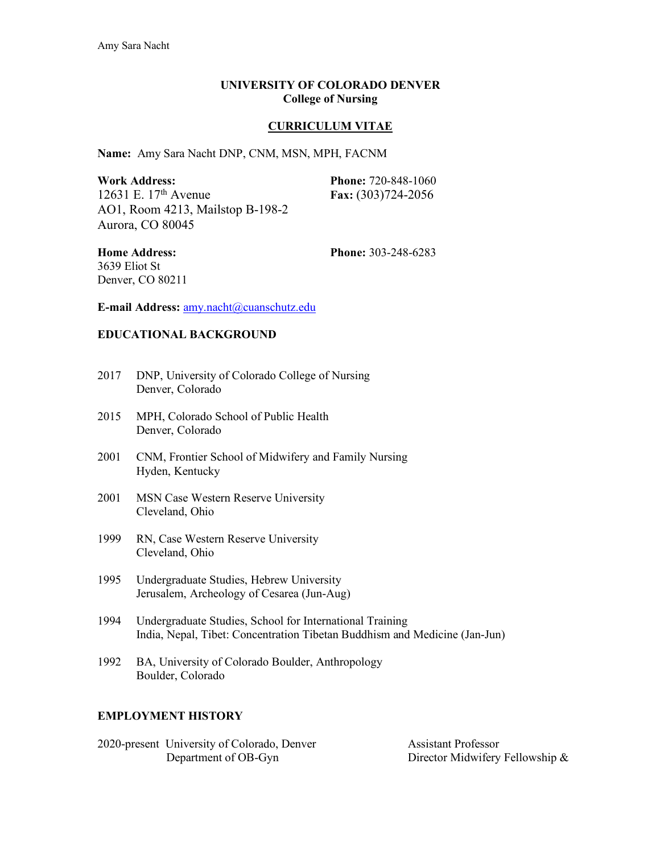### **UNIVERSITY OF COLORADO DENVER College of Nursing**

## **CURRICULUM VITAE**

**Name:** Amy Sara Nacht DNP, CNM, MSN, MPH, FACNM

| <b>Work Address:</b>             | <b>Phone: 720-848-1060</b> |
|----------------------------------|----------------------------|
| 12631 E. $17th$ Avenue           | Fax: $(303)724-2056$       |
| AO1, Room 4213, Mailstop B-198-2 |                            |
| Aurora, CO 80045                 |                            |

3639 Eliot St Denver, CO 80211

**Home Address: Phone:** 303-248-6283

**E-mail Address:** amy.nacht@cuanschutz.edu

## **EDUCATIONAL BACKGROUND**

- 2017 DNP, University of Colorado College of Nursing Denver, Colorado
- 2015 MPH, Colorado School of Public Health Denver, Colorado
- 2001 CNM, Frontier School of Midwifery and Family Nursing Hyden, Kentucky
- 2001 MSN Case Western Reserve University Cleveland, Ohio
- 1999 RN, Case Western Reserve University Cleveland, Ohio
- 1995 Undergraduate Studies, Hebrew University Jerusalem, Archeology of Cesarea (Jun-Aug)
- 1994 Undergraduate Studies, School for International Training India, Nepal, Tibet: Concentration Tibetan Buddhism and Medicine (Jan-Jun)
- 1992 BA, University of Colorado Boulder, Anthropology Boulder, Colorado

### **EMPLOYMENT HISTORY**

2020-present University of Colorado, Denver Assistant Professor<br>Department of OB-Gyn Director Midwifery

Director Midwifery Fellowship  $&$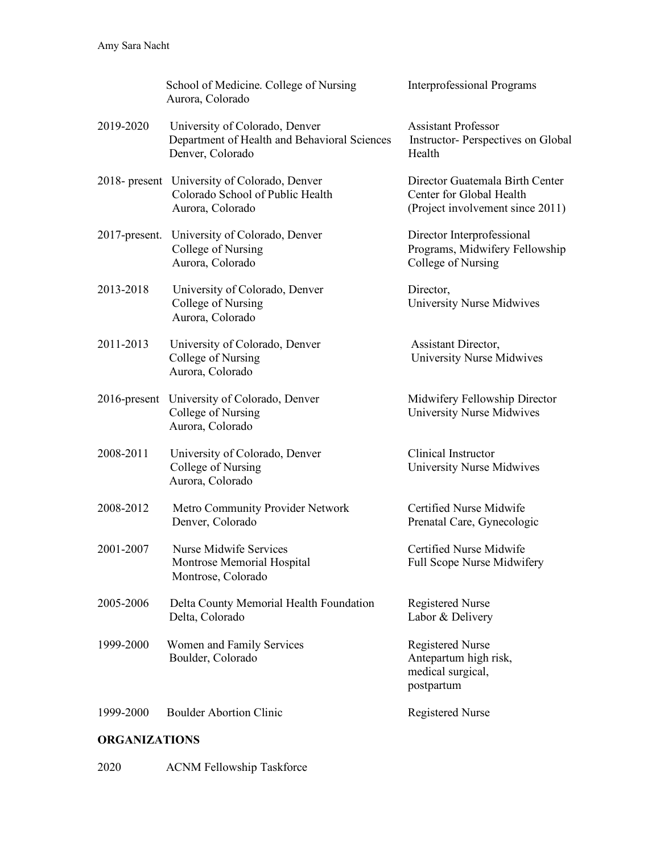|                  | School of Medicine. College of Nursing<br>Aurora, Colorado                                           | <b>Interprofessional Programs</b>                                                               |
|------------------|------------------------------------------------------------------------------------------------------|-------------------------------------------------------------------------------------------------|
| 2019-2020        | University of Colorado, Denver<br>Department of Health and Behavioral Sciences<br>Denver, Colorado   | <b>Assistant Professor</b><br><b>Instructor-Perspectives on Global</b><br>Health                |
|                  | 2018- present University of Colorado, Denver<br>Colorado School of Public Health<br>Aurora, Colorado | Director Guatemala Birth Center<br>Center for Global Health<br>(Project involvement since 2011) |
| $2017$ -present. | University of Colorado, Denver<br>College of Nursing<br>Aurora, Colorado                             | Director Interprofessional<br>Programs, Midwifery Fellowship<br>College of Nursing              |
| 2013-2018        | University of Colorado, Denver<br>College of Nursing<br>Aurora, Colorado                             | Director,<br><b>University Nurse Midwives</b>                                                   |
| 2011-2013        | University of Colorado, Denver<br>College of Nursing<br>Aurora, Colorado                             | Assistant Director,<br>University Nurse Midwives                                                |
|                  | 2016-present University of Colorado, Denver<br>College of Nursing<br>Aurora, Colorado                | Midwifery Fellowship Director<br><b>University Nurse Midwives</b>                               |
| 2008-2011        | University of Colorado, Denver<br>College of Nursing<br>Aurora, Colorado                             | Clinical Instructor<br><b>University Nurse Midwives</b>                                         |
| 2008-2012        | Metro Community Provider Network<br>Denver, Colorado                                                 | Certified Nurse Midwife<br>Prenatal Care, Gynecologic                                           |
| 2001-2007        | Nurse Midwife Services<br>Montrose Memorial Hospital<br>Montrose, Colorado                           | Certified Nurse Midwife<br>Full Scope Nurse Midwifery                                           |
| 2005-2006        | Delta County Memorial Health Foundation<br>Delta, Colorado                                           | <b>Registered Nurse</b><br>Labor & Delivery                                                     |
| 1999-2000        | Women and Family Services<br>Boulder, Colorado                                                       | <b>Registered Nurse</b><br>Antepartum high risk,<br>medical surgical,<br>postpartum             |
| 1999-2000        | <b>Boulder Abortion Clinic</b>                                                                       | <b>Registered Nurse</b>                                                                         |

# **ORGANIZATIONS**

2020 ACNM Fellowship Taskforce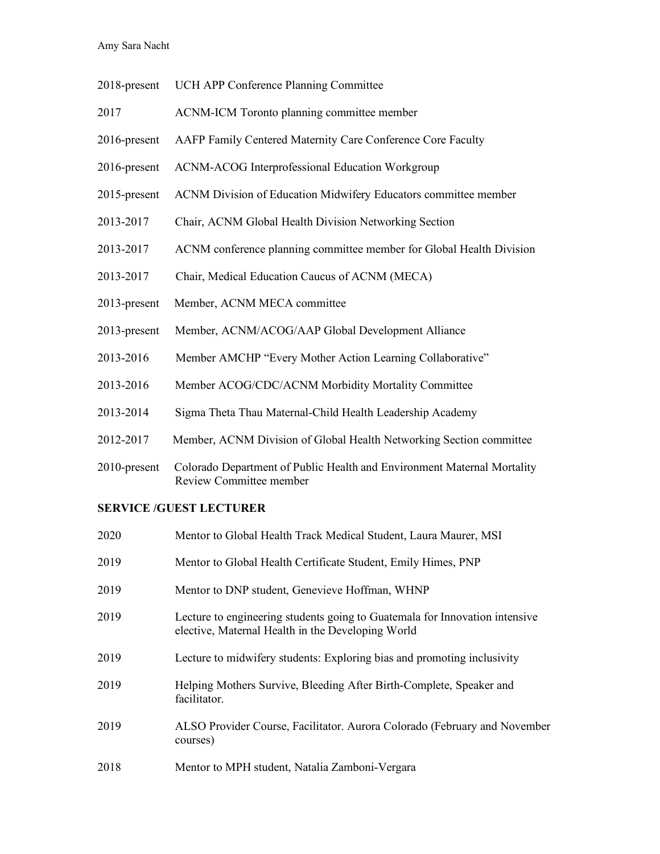Amy Sara Nacht

- 2018-present UCH APP Conference Planning Committee
- 2017 ACNM-ICM Toronto planning committee member
- 2016-present AAFP Family Centered Maternity Care Conference Core Faculty
- 2016-present ACNM-ACOG Interprofessional Education Workgroup
- 2015-present ACNM Division of Education Midwifery Educators committee member
- 2013-2017 Chair, ACNM Global Health Division Networking Section
- 2013-2017 ACNM conference planning committee member for Global Health Division
- 2013-2017 Chair, Medical Education Caucus of ACNM (MECA)
- 2013-present Member, ACNM MECA committee
- 2013-present Member, ACNM/ACOG/AAP Global Development Alliance
- 2013-2016 Member AMCHP "Every Mother Action Learning Collaborative"
- 2013-2016 Member ACOG/CDC/ACNM Morbidity Mortality Committee
- 2013-2014 Sigma Theta Thau Maternal-Child Health Leadership Academy
- 2012-2017 Member, ACNM Division of Global Health Networking Section committee
- 2010-present Colorado Department of Public Health and Environment Maternal Mortality Review Committee member

#### **SERVICE /GUEST LECTURER**

| 2020 | Mentor to Global Health Track Medical Student, Laura Maurer, MSI                                                                 |
|------|----------------------------------------------------------------------------------------------------------------------------------|
| 2019 | Mentor to Global Health Certificate Student, Emily Himes, PNP                                                                    |
| 2019 | Mentor to DNP student, Genevieve Hoffman, WHNP                                                                                   |
| 2019 | Lecture to engineering students going to Guatemala for Innovation intensive<br>elective, Maternal Health in the Developing World |
| 2019 | Lecture to midwifery students: Exploring bias and promoting inclusivity                                                          |
| 2019 | Helping Mothers Survive, Bleeding After Birth-Complete, Speaker and<br>facilitator.                                              |
| 2019 | ALSO Provider Course, Facilitator. Aurora Colorado (February and November<br>courses)                                            |
| 2018 | Mentor to MPH student, Natalia Zamboni-Vergara                                                                                   |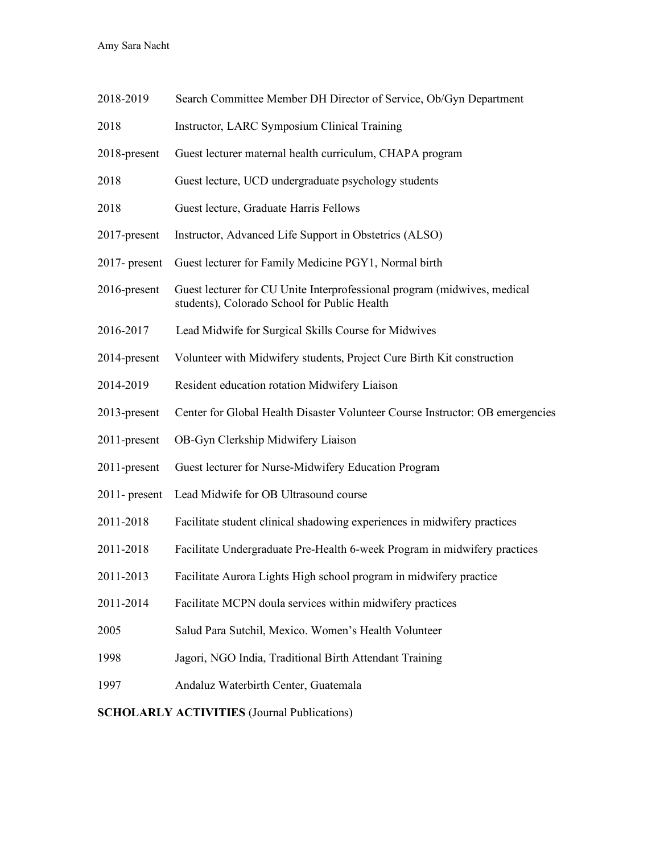Amy Sara Nacht

| 2018-2019        | Search Committee Member DH Director of Service, Ob/Gyn Department                                                        |
|------------------|--------------------------------------------------------------------------------------------------------------------------|
| 2018             | <b>Instructor, LARC Symposium Clinical Training</b>                                                                      |
| 2018-present     | Guest lecturer maternal health curriculum, CHAPA program                                                                 |
| 2018             | Guest lecture, UCD undergraduate psychology students                                                                     |
| 2018             | Guest lecture, Graduate Harris Fellows                                                                                   |
| 2017-present     | Instructor, Advanced Life Support in Obstetrics (ALSO)                                                                   |
| $2017$ - present | Guest lecturer for Family Medicine PGY1, Normal birth                                                                    |
| 2016-present     | Guest lecturer for CU Unite Interprofessional program (midwives, medical<br>students), Colorado School for Public Health |
| 2016-2017        | Lead Midwife for Surgical Skills Course for Midwives                                                                     |
| 2014-present     | Volunteer with Midwifery students, Project Cure Birth Kit construction                                                   |
| 2014-2019        | Resident education rotation Midwifery Liaison                                                                            |
| 2013-present     | Center for Global Health Disaster Volunteer Course Instructor: OB emergencies                                            |
| 2011-present     | OB-Gyn Clerkship Midwifery Liaison                                                                                       |
| 2011-present     | Guest lecturer for Nurse-Midwifery Education Program                                                                     |
| $2011$ - present | Lead Midwife for OB Ultrasound course                                                                                    |
| 2011-2018        | Facilitate student clinical shadowing experiences in midwifery practices                                                 |
| 2011-2018        | Facilitate Undergraduate Pre-Health 6-week Program in midwifery practices                                                |
| 2011-2013        | Facilitate Aurora Lights High school program in midwifery practice                                                       |
| 2011-2014        | Facilitate MCPN doula services within midwifery practices                                                                |
| 2005             | Salud Para Sutchil, Mexico. Women's Health Volunteer                                                                     |
| 1998             | Jagori, NGO India, Traditional Birth Attendant Training                                                                  |
| 1997             | Andaluz Waterbirth Center, Guatemala                                                                                     |
|                  |                                                                                                                          |

**SCHOLARLY ACTIVITIES** (Journal Publications)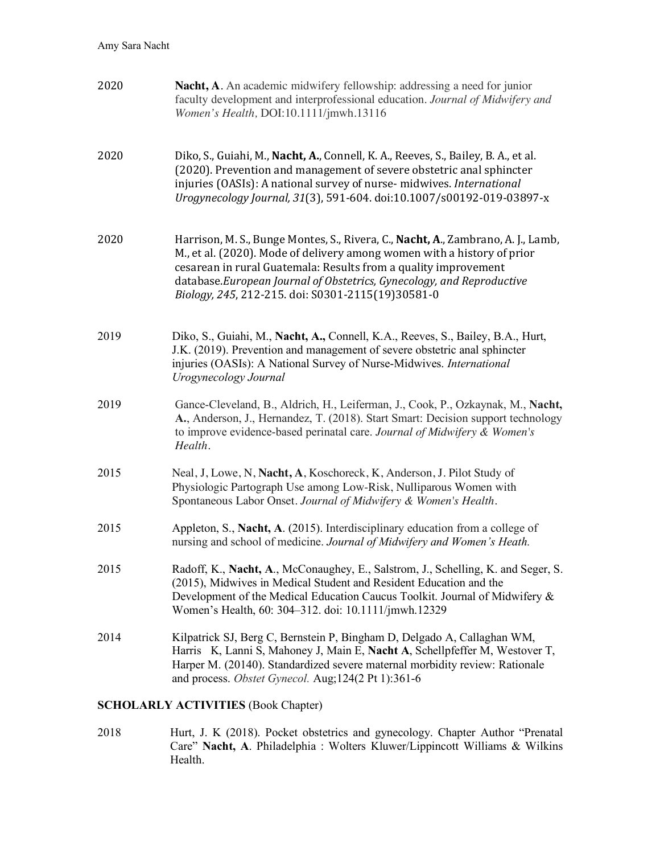| 2020 | <b>Nacht, A.</b> An academic midwifery fellowship: addressing a need for junior<br>faculty development and interprofessional education. Journal of Midwifery and<br>Women's Health, DOI:10.1111/jmwh.13116                                                                                                                                                   |
|------|--------------------------------------------------------------------------------------------------------------------------------------------------------------------------------------------------------------------------------------------------------------------------------------------------------------------------------------------------------------|
| 2020 | Diko, S., Guiahi, M., Nacht, A., Connell, K. A., Reeves, S., Bailey, B. A., et al.<br>(2020). Prevention and management of severe obstetric anal sphincter<br>injuries (OASIs): A national survey of nurse- midwives. International<br>Urogynecology Journal, 31(3), 591-604. doi:10.1007/s00192-019-03897-x                                                 |
| 2020 | Harrison, M. S., Bunge Montes, S., Rivera, C., Nacht, A., Zambrano, A. J., Lamb,<br>M., et al. (2020). Mode of delivery among women with a history of prior<br>cesarean in rural Guatemala: Results from a quality improvement<br>database.European Journal of Obstetrics, Gynecology, and Reproductive<br>Biology, 245, 212-215. doi: S0301-2115(19)30581-0 |
| 2019 | Diko, S., Guiahi, M., Nacht, A., Connell, K.A., Reeves, S., Bailey, B.A., Hurt,<br>J.K. (2019). Prevention and management of severe obstetric anal sphincter<br>injuries (OASIs): A National Survey of Nurse-Midwives. International<br>Urogynecology Journal                                                                                                |
| 2019 | Gance-Cleveland, B., Aldrich, H., Leiferman, J., Cook, P., Ozkaynak, M., Nacht,<br>A., Anderson, J., Hernandez, T. (2018). Start Smart: Decision support technology<br>to improve evidence-based perinatal care. Journal of Midwifery & Women's<br>Health.                                                                                                   |
| 2015 | Neal, J, Lowe, N, Nacht, A, Koschoreck, K, Anderson, J. Pilot Study of<br>Physiologic Partograph Use among Low-Risk, Nulliparous Women with<br>Spontaneous Labor Onset. Journal of Midwifery & Women's Health.                                                                                                                                               |
| 2015 | Appleton, S., Nacht, A. (2015). Interdisciplinary education from a college of<br>nursing and school of medicine. Journal of Midwifery and Women's Heath.                                                                                                                                                                                                     |
| 2015 | Radoff, K., Nacht, A., McConaughey, E., Salstrom, J., Schelling, K. and Seger, S.<br>(2015), Midwives in Medical Student and Resident Education and the<br>Development of the Medical Education Caucus Toolkit. Journal of Midwifery &<br>Women's Health, 60: 304-312. doi: 10.1111/jmwh.12329                                                               |
| 2014 | Kilpatrick SJ, Berg C, Bernstein P, Bingham D, Delgado A, Callaghan WM,<br>Harris K, Lanni S, Mahoney J, Main E, Nacht A, Schellpfeffer M, Westover T,<br>Harper M. (20140). Standardized severe maternal morbidity review: Rationale<br>and process. Obstet Gynecol. Aug;124(2 Pt 1):361-6                                                                  |
|      | <b>SCHOLARLY ACTIVITIES (Book Chapter)</b>                                                                                                                                                                                                                                                                                                                   |
|      |                                                                                                                                                                                                                                                                                                                                                              |

2018 Hurt, J. K (2018). Pocket obstetrics and gynecology. Chapter Author "Prenatal Care" **Nacht, A**. Philadelphia : Wolters Kluwer/Lippincott Williams & Wilkins Health.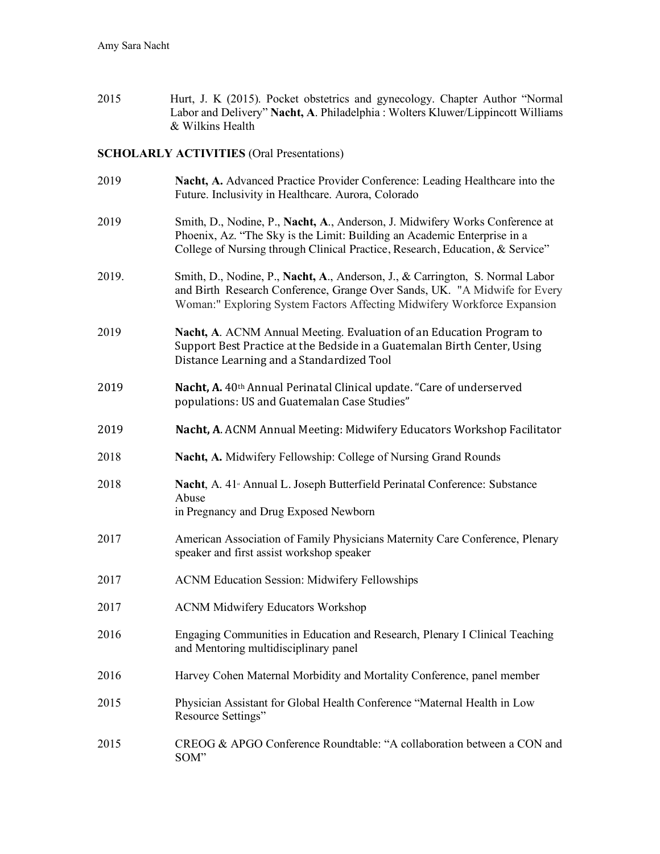2015 Hurt, J. K (2015). Pocket obstetrics and gynecology. Chapter Author "Normal Labor and Delivery" **Nacht, A**. Philadelphia : Wolters Kluwer/Lippincott Williams & Wilkins Health

## **SCHOLARLY ACTIVITIES** (Oral Presentations)

| 2019  | Nacht, A. Advanced Practice Provider Conference: Leading Healthcare into the<br>Future. Inclusivity in Healthcare. Aurora, Colorado                                                                                                       |
|-------|-------------------------------------------------------------------------------------------------------------------------------------------------------------------------------------------------------------------------------------------|
| 2019  | Smith, D., Nodine, P., Nacht, A., Anderson, J. Midwifery Works Conference at<br>Phoenix, Az. "The Sky is the Limit: Building an Academic Enterprise in a<br>College of Nursing through Clinical Practice, Research, Education, & Service" |
| 2019. | Smith, D., Nodine, P., Nacht, A., Anderson, J., & Carrington, S. Normal Labor<br>and Birth Research Conference, Grange Over Sands, UK. "A Midwife for Every<br>Woman:" Exploring System Factors Affecting Midwifery Workforce Expansion   |
| 2019  | Nacht, A. ACNM Annual Meeting. Evaluation of an Education Program to<br>Support Best Practice at the Bedside in a Guatemalan Birth Center, Using<br>Distance Learning and a Standardized Tool                                             |
| 2019  | Nacht, A. 40th Annual Perinatal Clinical update. "Care of underserved<br>populations: US and Guatemalan Case Studies"                                                                                                                     |
| 2019  | Nacht, A. ACNM Annual Meeting: Midwifery Educators Workshop Facilitator                                                                                                                                                                   |
| 2018  | Nacht, A. Midwifery Fellowship: College of Nursing Grand Rounds                                                                                                                                                                           |
| 2018  | Nacht, A. 41 <sup><i>s</i></sup> Annual L. Joseph Butterfield Perinatal Conference: Substance<br>Abuse<br>in Pregnancy and Drug Exposed Newborn                                                                                           |
| 2017  | American Association of Family Physicians Maternity Care Conference, Plenary<br>speaker and first assist workshop speaker                                                                                                                 |
| 2017  | <b>ACNM Education Session: Midwifery Fellowships</b>                                                                                                                                                                                      |
| 2017  | <b>ACNM Midwifery Educators Workshop</b>                                                                                                                                                                                                  |
| 2016  | Engaging Communities in Education and Research, Plenary I Clinical Teaching<br>and Mentoring multidisciplinary panel                                                                                                                      |
| 2016  | Harvey Cohen Maternal Morbidity and Mortality Conference, panel member                                                                                                                                                                    |
| 2015  | Physician Assistant for Global Health Conference "Maternal Health in Low<br>Resource Settings"                                                                                                                                            |
| 2015  | CREOG & APGO Conference Roundtable: "A collaboration between a CON and<br>SOM"                                                                                                                                                            |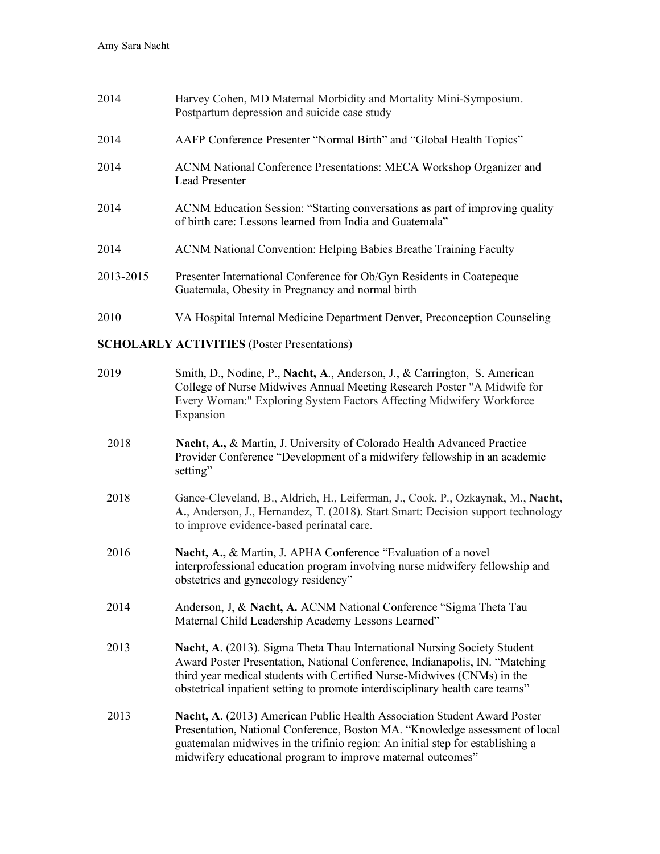| 2014      | Harvey Cohen, MD Maternal Morbidity and Mortality Mini-Symposium.<br>Postpartum depression and suicide case study                        |
|-----------|------------------------------------------------------------------------------------------------------------------------------------------|
| 2014      | AAFP Conference Presenter "Normal Birth" and "Global Health Topics"                                                                      |
| 2014      | ACNM National Conference Presentations: MECA Workshop Organizer and<br><b>Lead Presenter</b>                                             |
| 2014      | ACNM Education Session: "Starting conversations as part of improving quality<br>of birth care: Lessons learned from India and Guatemala" |
| 2014      | <b>ACNM</b> National Convention: Helping Babies Breathe Training Faculty                                                                 |
| 2013-2015 | Presenter International Conference for Ob/Gyn Residents in Coatepeque<br>Guatemala, Obesity in Pregnancy and normal birth                |
| 2010      | VA Hospital Internal Medicine Department Denver, Preconception Counseling                                                                |

**SCHOLARLY ACTIVITIES** (Poster Presentations)

| 2019 | Smith, D., Nodine, P., Nacht, A., Anderson, J., & Carrington, S. American<br>College of Nurse Midwives Annual Meeting Research Poster "A Midwife for<br>Every Woman:" Exploring System Factors Affecting Midwifery Workforce<br>Expansion                                                                           |
|------|---------------------------------------------------------------------------------------------------------------------------------------------------------------------------------------------------------------------------------------------------------------------------------------------------------------------|
| 2018 | Nacht, A., & Martin, J. University of Colorado Health Advanced Practice<br>Provider Conference "Development of a midwifery fellowship in an academic<br>setting"                                                                                                                                                    |
| 2018 | Gance-Cleveland, B., Aldrich, H., Leiferman, J., Cook, P., Ozkaynak, M., Nacht,<br>A., Anderson, J., Hernandez, T. (2018). Start Smart: Decision support technology<br>to improve evidence-based perinatal care.                                                                                                    |
| 2016 | Nacht, A., & Martin, J. APHA Conference "Evaluation of a novel<br>interprofessional education program involving nurse midwifery fellowship and<br>obstetrics and gynecology residency"                                                                                                                              |
| 2014 | Anderson, J, & Nacht, A. ACNM National Conference "Sigma Theta Tau<br>Maternal Child Leadership Academy Lessons Learned"                                                                                                                                                                                            |
| 2013 | Nacht, A. (2013). Sigma Theta Thau International Nursing Society Student<br>Award Poster Presentation, National Conference, Indianapolis, IN. "Matching<br>third year medical students with Certified Nurse-Midwives (CNMs) in the<br>obstetrical inpatient setting to promote interdisciplinary health care teams" |
| 2013 | Nacht, A. (2013) American Public Health Association Student Award Poster<br>Presentation, National Conference, Boston MA. "Knowledge assessment of local<br>guatemalan midwives in the trifinio region: An initial step for establishing a<br>midwifery educational program to improve maternal outcomes"           |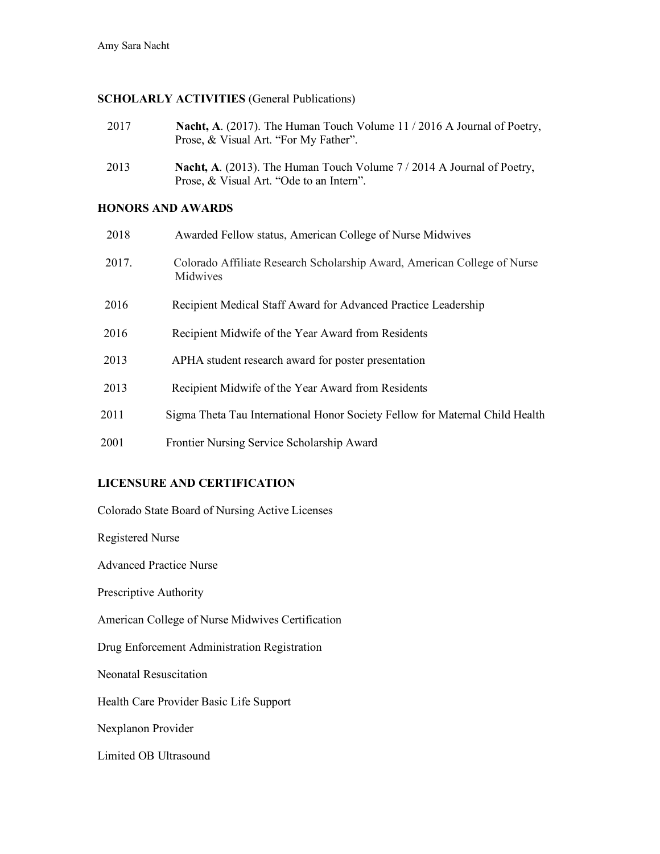## **SCHOLARLY ACTIVITIES** (General Publications)

- 2017 **Nacht, A**. (2017). The Human Touch Volume 11 / 2016 A Journal of Poetry, Prose, & Visual Art. "For My Father".
- 2013 **Nacht, A**. (2013). The Human Touch Volume 7 / 2014 A Journal of Poetry, Prose, & Visual Art. "Ode to an Intern".

## **HONORS AND AWARDS**

| 2018  | Awarded Fellow status, American College of Nurse Midwives                            |
|-------|--------------------------------------------------------------------------------------|
| 2017. | Colorado Affiliate Research Scholarship Award, American College of Nurse<br>Midwives |
| 2016  | Recipient Medical Staff Award for Advanced Practice Leadership                       |
| 2016  | Recipient Midwife of the Year Award from Residents                                   |
| 2013  | APHA student research award for poster presentation                                  |
| 2013  | Recipient Midwife of the Year Award from Residents                                   |
| 2011  | Sigma Theta Tau International Honor Society Fellow for Maternal Child Health         |
| 2001  | Frontier Nursing Service Scholarship Award                                           |

## **LICENSURE AND CERTIFICATION**

Colorado State Board of Nursing Active Licenses

Registered Nurse

Advanced Practice Nurse

Prescriptive Authority

American College of Nurse Midwives Certification

Drug Enforcement Administration Registration

Neonatal Resuscitation

Health Care Provider Basic Life Support

Nexplanon Provider

Limited OB Ultrasound